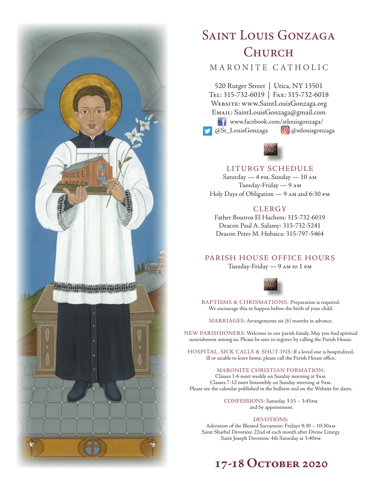

# SAINT LOUIS GONZAGA **CHURCH**

# MARONITE CATHOLIC

520 Rutger Street | Utica, NY 13501 Tel: 315-732-6019 | Fax: 315-732-6018 Website: www.SaintLouisGonzaga.org Email: SaintLouisGonzaga@gmail.com **T1** www.facebook.com/stlouisgonzaga/ @St\_LouisGonzaga **@**@stlouisgonzaga



### LITURGY SCHEDULE

Saturday — 4 pm, Sunday — 10 am Tuesday-Friday — 9 am Holy Days of Obligation — 9 am and 6:30 pm

## **CLERGY**

Father Boutros El Hachem: 315-732-6019 Deacon Paul A. Salamy: 315-732-5241 Deacon Peter M. Hobaica: 315-797-5464

# PARISH HOUSE OFFICE HOURS

Tuesday-Friday — 9 am to 1 pm



BAPTISMS & CHRISMATIONS: Preparation is required. We encourage this to happen before the birth of your child.

MARRIAGES: Arrangements six (6) months in advance.

NEW PARISHIONERS: Welcome to our parish family. May you find spiritual nourishment among us. Please be sure to register by calling the Parish House.

HOSPITAL, SICK CALLS & SHUT-INS: If a loved one is hospitalized, ill or unable to leave home, please call the Parish House office.

### MARONITE CHRISTIAN FORMATION:

Classes 1-6 meet weekly on Sunday morning at 9am. Classes 7-12 meet bimonthly on Sunday morning at 9am. Please see the calendar published in the bulletin and on the Website for dates.

> CONFESSIONS: Saturday 3:15 – 3:45pm and by appointment.

### DEVOTIONS:

Adoration of the Blessed Sacrament: Fridays 9:30 – 10:30am Saint Sharbel Devotion: 22nd of each month after Divine Liturgy Saint Joseph Devotion: 4th Saturday at 3:40pm

# **17-18 October 2020**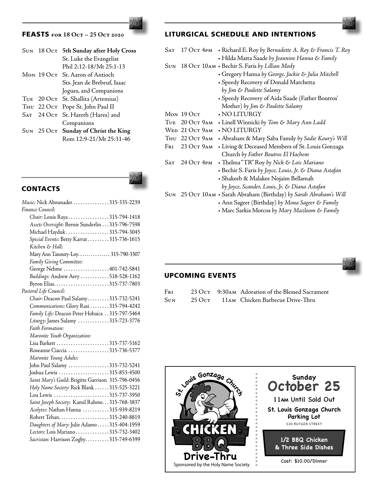# FEASTS **for 18 Oct – 25 Oct 2020**

|  | SUN 18 Oct 5th Sunday after Holy Cross |
|--|----------------------------------------|
|  | St. Luke the Evangelist                |
|  | Phil 2:12-18/Mt 25:1-13                |
|  | Mon 19 Oct St. Aaron of Antioch        |
|  | Sts. Jean de Brebeuf, Isaac            |
|  | Jogues, and Companions                 |
|  | TUE 20 OCT St. Shallita (Artemius)     |
|  | THU 22 OCT Pope St. John Paul II       |
|  | SAT 24 Oct St. Hareth (Hares) and      |
|  | Companions                             |
|  | SUN 25 OCT Sunday of Christ the King   |
|  | Rom 12:9-21/Mt 25:31-46                |
|  |                                        |

**CONTACTS** 

| Music: Nick Abounader 315-335-2239                 |
|----------------------------------------------------|
| Finance Council:                                   |
| Chair: Louis Raya315-794-1418                      |
| Assets Oversight: Bernie Sunderlin 315-796-7598    |
| Michael Hayduk 315-794-3045                        |
| Special Events: Betty Karrat 315-736-1615          |
| Kitchen & Hall:                                    |
| Mary Ann Tanoury-Loy 315-790-3307                  |
| Family Giving Committee:                           |
| George Nehme 401-742-5841                          |
| Buildings: Andrew Aery 518-528-1162                |
| Byron Elias315-737-7803                            |
| Pastoral Life Council:                             |
| Chair: Deacon Paul Salamy315-732-5241              |
| Communications: Glory Rasi 315-794-4242            |
| Family Life: Deacon Peter Hobaica 315-797-5464     |
| Liturgy: James Salamy 315-723-3776                 |
| Faith Formation:                                   |
| Maronite Youth Organization:                       |
|                                                    |
| Roseanne Ciaccia 315-736-5377                      |
| Maronite Young Adults:                             |
| John Paul Salamy 315-732-5241                      |
| Joshua Lewis 315-853-4500                          |
| Saint Mary's Guild: Brigitte Garrison 315-796-0456 |
| Holy Name Society: Rick Blank 315-525-3221         |
| Lou Lewis 315-737-3950                             |
| Saint Joseph Society: Kamil Rahme. 315-768-3837    |
| Acolytes: Nathan Hanna 315-939-8219                |
|                                                    |
| Daughters of Mary: Julie Adamo  315-404-1959       |
| Lectors: Lois Mariano315-732-3402                  |
| Sacristan: Harrison Zogby315-749-6399              |
|                                                    |

## LITURGICAL SCHEDULE AND INTENTIONS

| Sat        |                | 17 OCT 4PM • Richard E. Roy by Bernadette A. Roy & Francis T. Roy  |
|------------|----------------|--------------------------------------------------------------------|
|            |                | + Hilda Matta Saade by Jeannine Hanna & Family                     |
| <b>SUN</b> |                | 18 Ост 10AM • Bechir S. Faris by Lillian Mody                      |
|            |                | · Gregory Hanna by George, Jackie & Julia Mitchell                 |
|            |                | + Speedy Recovery of Donald Marchetta                              |
|            |                | by Jim & Paulette Salamy                                           |
|            |                | · Speedy Recovery of Aida Saade (Father Boutros'                   |
|            |                | Mother) by Jim & Paulette Salamy                                   |
|            | Mon $190c$ t   | $\boldsymbol{\cdot}$ NO LITURGY                                    |
| TUE.       | 20 Ост 9ам     | • Linell Winnicki by Tom & Mary Ann Ladd                           |
|            | WED 21 OCT 9AM | $\boldsymbol{\cdot}$ NO LITURGY                                    |
|            | THU 22 OCT 9AM | + Abraham & Mary Saba Family by Sadie Koury's Will                 |
| Fri        | 23 Ост 9 ам    | • Living & Deceased Members of St. Louis Gonzaga                   |
|            |                | Church by Father Boutros El Hachem                                 |
| SAT        | 24 Ост 4рм     | • Thelma "TR" Roy by Nick & Lois Mariano                           |
|            |                | + Bechir S. Faris by Joyce, Louis, Jr. & Diana Astafan             |
|            |                | · Shakeeb & Malakee Nojaim Bellamah                                |
|            |                | by Joyce, Scander, Louis, Jr. & Diana Astafan                      |
|            |                | SUN 25 OCT 10AM + Sarah Abraham (Birthday) by Sarah Abraham's Will |

- Ann Sageer (Birthday) *by Mona Sageer & Family*
- Marc Sarkis Morcos *by Mary Mazloom & Family*



# UPCOMING EVENTS

| Fri  |  | 23 OCT 9:30AM Adoration of the Blessed Sacrament |
|------|--|--------------------------------------------------|
| Sun- |  | 25 Oct 11AM Chicken Barbecue Drive-Thru          |

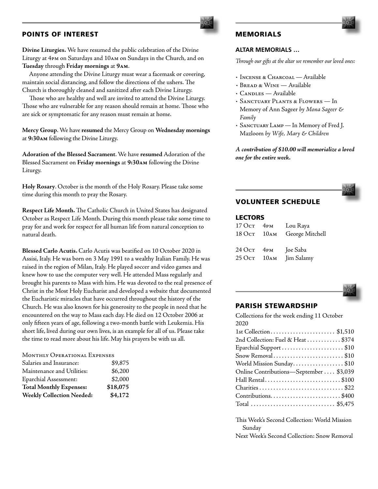### POINTS OF INTEREST

**Divine Liturgies.** We have resumed the public celebration of the Divine Liturgy at 4pm on Saturdays and 10am on Sundays in the Church, and on **Tuesday** through **Friday mornings** at **9am**.

 Anyone attending the Divine Liturgy must wear a facemask or covering, maintain social distancing, and follow the directions of the ushers. The Church is thoroughly cleaned and sanitized after each Divine Liturgy.

 Those who are healthy and well are invited to attend the Divine Liturgy. Those who are vulnerable for any reason should remain at home. Those who are sick or symptomatic for any reason must remain at home.

**Mercy Group**. We have **resumed** the Mercy Group on **Wednesday mornings** at **9:30am** following the Divine Liturgy.

**Adoration of the Blessed Sacrament**. We have **resumed** Adoration of the Blessed Sacrament on **Friday mornings** at **9:30am** following the Divine Liturgy.

**Holy Rosary**. October is the month of the Holy Rosary. Please take some time during this month to pray the Rosary.

**Respect Life Month.** The Catholic Church in United States has designated October as Respect Life Month. During this month please take some time to pray for and work for respect for all human life from natural conception to natural death.

**Blessed Carlo Acutis.** Carlo Acutis was beatified on 10 October 2020 in Assisi, Italy. He was born on 3 May 1991 to a wealthy Italian Family. He was raised in the region of Milan, Italy. He played soccer and video games and knew how to use the computer very well. He attended Mass regularly and brought his parents to Mass with him. He was devoted to the real presence of Christ in the Most Holy Eucharist and developed a website that documented the Eucharistic miracles that have occurred throughout the history of the Church. He was also known for his generosity to the people in need that he encountered on the way to Mass each day. He died on 12 October 2006 at only fifteen years of age, following a two-month battle with Leukemia. His short life, lived during our own lives, is an example for all of us. Please take the time to read more about his life. May his prayers be with us all.

| MONTHLY OPERATIONAL EXPENSES |         |
|------------------------------|---------|
| Salaries and Insurance:      | \$9,875 |
| Maintenance and Utilities:   | \$6,200 |

| Eparchial Assessment:            | \$2,000  |
|----------------------------------|----------|
| <b>Total Monthly Expenses:</b>   | \$18,075 |
| <b>Weekly Collection Needed:</b> | \$4,172  |

# MEMORIALS

### **ALTAR MEMORIALS …**

*Through our gifts at the altar we remember our loved ones:*

- Incense & Charcoal Available
- Bread & Wine Available
- CANDLES Available
- *•* Sanctuary Plants & Flowers In Memory of Ann Sageer *by Mona Sageer & Family*
- Sanctuary Lamp In Memory of Fred J. Mazloom *by Wife, Mary & Children*

*A contribution of \$10.00 will memorialize a loved one for the entire week.*



## VOLUNTEER SCHEDULE

### LECTORS

| $170c$ T $4$ PM                                        | Lou Raya                    |
|--------------------------------------------------------|-----------------------------|
|                                                        | 18 OCT 10AM George Mitchell |
|                                                        |                             |
| $24 \,\mathrm{O} \mathrm{c}$ $4 \mathrm{P} \mathrm{M}$ | Joe Saba                    |
| 25 Ост 10 ам                                           | Jim Salamy                  |



### PARISH STEWARDSHIP

Collections for the week ending 11 October 2020

| 2nd Collection: Fuel & Heat \$374       |
|-----------------------------------------|
| Eparchial Support \$10                  |
| Snow Removal\$10                        |
| World Mission Sunday\$10                |
| Online Contributions-September  \$3,039 |
| Hall Rental\$100                        |
|                                         |
| Contributions\$400                      |
| Total  \$5,475                          |

This Week's Second Collection: World Mission Sunday

Next Week's Second Collection: Snow Removal